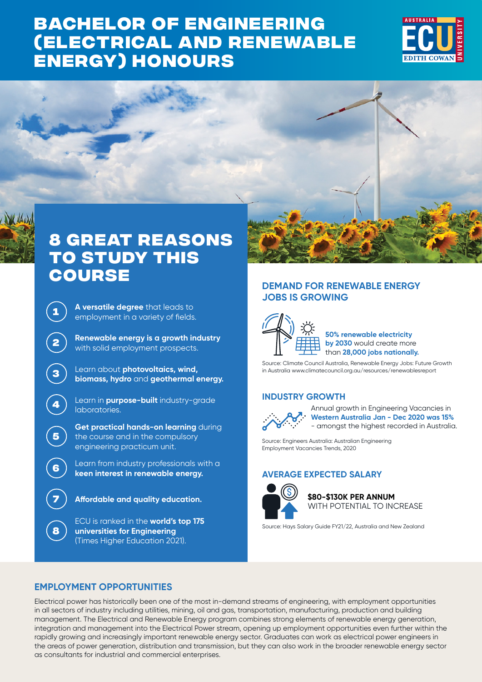# **BACHELOR OF ENGINEERING [\(ELECTRICAL AND RENEWABLE](https://www.ecu.edu.au/degrees/courses/overview?id=W21)  ENERGY) HONOURS**





**5**

**8**

# **8 great reasons to study this course**

**<sup>1</sup> A versatile degree** that leads to employment in a variety of fields.

**<sup>2</sup> Renewable energy is a growth industry**  with solid employment prospects.

**<sup>3</sup>** Learn about **photovoltaics, wind, biomass, hydro** and **geothermal energy.**

**<sup>4</sup>** Learn in **purpose-built** industry-grade laboratories.

**Get practical hands-on learning** during the course and in the compulsory engineering practicum unit.

Learn from industry professionals with a **keen interest in renewable energy.**

**7 Affordable and quality education.**

ECU is ranked in the **world's top 175 universities for Engineering**  (Times Higher Education 2021).

## **DEMAND FOR RENEWABLE ENERGY JOBS IS GROWING**



**50% renewable electricity by 2030** would create more than **28,000 jobs nationally.**

Source: Climate Council Australia, Renewable Energy Jobs: Future Growth in Australia [www.climatecouncil.org.au/resources/renewablesreport](http://www.climatecouncil.org.au/resources/renewablesreport)

## **INDUSTRY GROWTH**



Annual growth in Engineering Vacancies in **Western Australia Jan - Dec 2020 was 15%** - amongst the highest recorded in Australia.

Source: Engineers Australia: Australian Engineering Employment Vacancies Trends, 2020

## **AVERAGE EXPECTED SALARY**



**\$80-\$130K PER ANNUM** WITH POTENTIAL TO INCREASE

Source: Hays Salary Guide FY21/22, Australia and New Zealand

## **EMPLOYMENT OPPORTUNITIES**

Electrical power has historically been one of the most in-demand streams of engineering, with employment opportunities in all sectors of industry including utilities, mining, oil and gas, transportation, manufacturing, production and building management. The Electrical and Renewable Energy program combines strong elements of renewable energy generation, integration and management into the Electrical Power stream, opening up employment opportunities even further within the rapidly growing and increasingly important renewable energy sector. Graduates can work as electrical power engineers in the areas of power generation, distribution and transmission, but they can also work in the broader renewable energy sector as consultants for industrial and commercial enterprises.